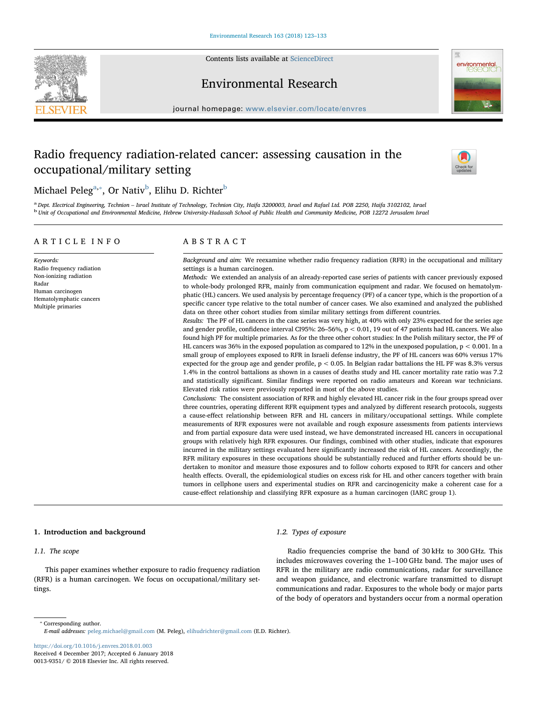

Contents lists available at [ScienceDirect](http://www.sciencedirect.com/science/journal/00139351)

## Environmental Research



journal homepage: [www.elsevier.com/locate/envres](https://www.elsevier.com/locate/envres)

# Radio frequency radiation-related cancer: assessing causation in the occupational/military setting



## Mich[a](#page-0-0)el Peleg $^{\mathrm{a},*}$ , Or Nativ $^{\mathrm{b}}$  $^{\mathrm{b}}$  $^{\mathrm{b}}$ , Elihu D. Richter $^{\mathrm{b}}$

<span id="page-0-2"></span><span id="page-0-0"></span><sup>a</sup> Dept. Electrical Engineering, Technion – Israel Institute of Technology, Technion City, Haifa 3200003, Israel and Rafael Ltd. POB 2250, Haifa 3102102, Israel<br><sup>b</sup> Unit of Occupational and Environmental Medicine, Hebrew

## ARTICLE INFO

Keywords: Radio frequency radiation Non-ionizing radiation Radar Human carcinogen Hematolymphatic cancers Multiple primaries

## ABSTRACT

Background and aim: We reexamine whether radio frequency radiation (RFR) in the occupational and military settings is a human carcinogen.

Methods: We extended an analysis of an already-reported case series of patients with cancer previously exposed to whole-body prolonged RFR, mainly from communication equipment and radar. We focused on hematolymphatic (HL) cancers. We used analysis by percentage frequency (PF) of a cancer type, which is the proportion of a specific cancer type relative to the total number of cancer cases. We also examined and analyzed the published data on three other cohort studies from similar military settings from different countries.

Results: The PF of HL cancers in the case series was very high, at 40% with only 23% expected for the series age and gender profile, confidence interval CI95%: 26–56%, p < 0.01, 19 out of 47 patients had HL cancers. We also found high PF for multiple primaries. As for the three other cohort studies: In the Polish military sector, the PF of HL cancers was 36% in the exposed population as compared to 12% in the unexposed population,  $p < 0.001$ . In a small group of employees exposed to RFR in Israeli defense industry, the PF of HL cancers was 60% versus 17% expected for the group age and gender profile,  $p < 0.05$ . In Belgian radar battalions the HL PF was 8.3% versus 1.4% in the control battalions as shown in a causes of deaths study and HL cancer mortality rate ratio was 7.2 and statistically significant. Similar findings were reported on radio amateurs and Korean war technicians. Elevated risk ratios were previously reported in most of the above studies.

Conclusions: The consistent association of RFR and highly elevated HL cancer risk in the four groups spread over three countries, operating different RFR equipment types and analyzed by different research protocols, suggests a cause-effect relationship between RFR and HL cancers in military/occupational settings. While complete measurements of RFR exposures were not available and rough exposure assessments from patients interviews and from partial exposure data were used instead, we have demonstrated increased HL cancers in occupational groups with relatively high RFR exposures. Our findings, combined with other studies, indicate that exposures incurred in the military settings evaluated here significantly increased the risk of HL cancers. Accordingly, the RFR military exposures in these occupations should be substantially reduced and further efforts should be undertaken to monitor and measure those exposures and to follow cohorts exposed to RFR for cancers and other health effects. Overall, the epidemiological studies on excess risk for HL and other cancers together with brain tumors in cellphone users and experimental studies on RFR and carcinogenicity make a coherent case for a cause-effect relationship and classifying RFR exposure as a human carcinogen (IARC group 1).

### 1. Introduction and background

## 1.1. The scope

This paper examines whether exposure to radio frequency radiation (RFR) is a human carcinogen. We focus on occupational/military settings.

## 1.2. Types of exposure

Radio frequencies comprise the band of 30 kHz to 300 GHz. This includes microwaves covering the 1–100 GHz band. The major uses of RFR in the military are radio communications, radar for surveillance and weapon guidance, and electronic warfare transmitted to disrupt communications and radar. Exposures to the whole body or major parts of the body of operators and bystanders occur from a normal operation

<https://doi.org/10.1016/j.envres.2018.01.003> Received 4 December 2017; Accepted 6 January 2018 0013-9351/ © 2018 Elsevier Inc. All rights reserved.

<span id="page-0-1"></span><sup>⁎</sup> Corresponding author. E-mail addresses: [peleg.michael@gmail.com](mailto:peleg.michael@gmail.com) (M. Peleg), [elihudrichter@gmail.com](mailto:elihudrichter@gmail.com) (E.D. Richter).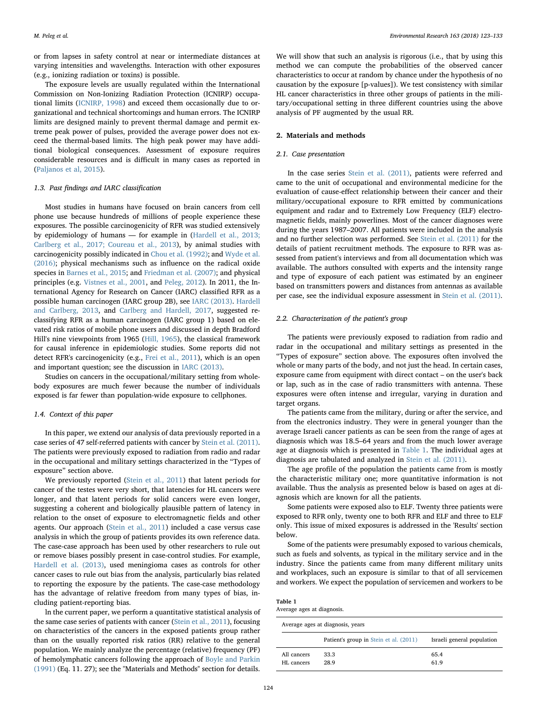or from lapses in safety control at near or intermediate distances at varying intensities and wavelengths. Interaction with other exposures (e.g., ionizing radiation or toxins) is possible.

The exposure levels are usually regulated within the International Commission on Non-Ionizing Radiation Protection (ICNIRP) occupational limits ([ICNIRP, 1998](#page-10-0)) and exceed them occasionally due to organizational and technical shortcomings and human errors. The ICNIRP limits are designed mainly to prevent thermal damage and permit extreme peak power of pulses, provided the average power does not exceed the thermal-based limits. The high peak power may have additional biological consequences. Assessment of exposure requires considerable resources and is difficult in many cases as reported in ([Paljanos et al, 2015](#page-10-1)).

#### 1.3. Past findings and IARC classification

Most studies in humans have focused on brain cancers from cell phone use because hundreds of millions of people experience these exposures. The possible carcinogenicity of RFR was studied extensively by epidemiology of humans — for example in [\(Hardell et al., 2013;](#page-10-2) [Carlberg et al., 2017; Coureau et al., 2013\)](#page-10-2), by animal studies with carcinogenicity possibly indicated in [Chou et al. \(1992\);](#page-10-3) and [Wyde et al.](#page-10-4) [\(2016\);](#page-10-4) physical mechanisms such as influence on the radical oxide species in [Barnes et al., 2015;](#page-10-5) and [Friedman et al. \(2007\);](#page-10-6) and physical principles (e.g. [Vistnes et al., 2001,](#page-10-7) and [Peleg, 2012](#page-10-8)). In 2011, the International Agency for Research on Cancer (IARC) classified RFR as a possible human carcinogen (IARC group 2B), see [IARC \(2013\).](#page-10-9) [Hardell](#page-10-10) [and Carlberg, 2013](#page-10-10), and [Carlberg and Hardell, 2017](#page-10-11), suggested reclassifying RFR as a human carcinogen (IARC group 1) based on elevated risk ratios of mobile phone users and discussed in depth Bradford Hill's nine viewpoints from 1965 ([Hill, 1965\)](#page-10-12), the classical framework for causal inference in epidemiologic studies. Some reports did not detect RFR's carcinogenicity (e.g., [Frei et al., 2011](#page-10-13)), which is an open and important question; see the discussion in [IARC \(2013\)](#page-10-9).

Studies on cancers in the occupational/military setting from wholebody exposures are much fewer because the number of individuals exposed is far fewer than population-wide exposure to cellphones.

#### 1.4. Context of this paper

In this paper, we extend our analysis of data previously reported in a case series of 47 self-referred patients with cancer by [Stein et al. \(2011\)](#page-10-14). The patients were previously exposed to radiation from radio and radar in the occupational and military settings characterized in the "Types of exposure" section above.

We previously reported [\(Stein et al., 2011\)](#page-10-14) that latent periods for cancer of the testes were very short, that latencies for HL cancers were longer, and that latent periods for solid cancers were even longer, suggesting a coherent and biologically plausible pattern of latency in relation to the onset of exposure to electromagnetic fields and other agents. Our approach [\(Stein et al., 2011\)](#page-10-14) included a case versus case analysis in which the group of patients provides its own reference data. The case-case approach has been used by other researchers to rule out or remove biases possibly present in case-control studies. For example, [Hardell et al. \(2013\)](#page-10-2), used meningioma cases as controls for other cancer cases to rule out bias from the analysis, particularly bias related to reporting the exposure by the patients. The case-case methodology has the advantage of relative freedom from many types of bias, including patient-reporting bias.

ln the current paper, we perform a quantitative statistical analysis of the same case series of patients with cancer [\(Stein et al., 2011](#page-10-14)), focusing on characteristics of the cancers in the exposed patients group rather than on the usually reported risk ratios (RR) relative to the general population. We mainly analyze the percentage (relative) frequency (PF) of hemolymphatic cancers following the approach of [Boyle and Parkin](#page-10-15) [\(1991\)](#page-10-15) (Eq. 11. 27); see the "Materials and Methods" section for details.

We will show that such an analysis is rigorous (i.e., that by using this method we can compute the probabilities of the observed cancer characteristics to occur at random by chance under the hypothesis of no causation by the exposure [p-values]). We test consistency with similar HL cancer characteristics in three other groups of patients in the military/occupational setting in three different countries using the above analysis of PF augmented by the usual RR.

## 2. Materials and methods

#### 2.1. Case presentation

In the case series [Stein et al. \(2011\)](#page-10-14), patients were referred and came to the unit of occupational and environmental medicine for the evaluation of cause-effect relationship between their cancer and their military/occupational exposure to RFR emitted by communications equipment and radar and to Extremely Low Frequency (ELF) electromagnetic fields, mainly powerlines. Most of the cancer diagnoses were during the years 1987–2007. All patients were included in the analysis and no further selection was performed. See [Stein et al. \(2011\)](#page-10-14) for the details of patient recruitment methods. The exposure to RFR was assessed from patient's interviews and from all documentation which was available. The authors consulted with experts and the intensity range and type of exposure of each patient was estimated by an engineer based on transmitters powers and distances from antennas as available per case, see the individual exposure assessment in [Stein et al. \(2011\)](#page-10-14).

#### 2.2. Characterization of the patient's group

The patients were previously exposed to radiation from radio and radar in the occupational and military settings as presented in the "Types of exposure" section above. The exposures often involved the whole or many parts of the body, and not just the head. In certain cases, exposure came from equipment with direct contact – on the user's back or lap, such as in the case of radio transmitters with antenna. These exposures were often intense and irregular, varying in duration and target organs.

The patients came from the military, during or after the service, and from the electronics industry. They were in general younger than the average Israeli cancer patients as can be seen from the range of ages at diagnosis which was 18.5–64 years and from the much lower average age at diagnosis which is presented in [Table 1.](#page-1-0) The individual ages at diagnosis are tabulated and analyzed in [Stein et al. \(2011\).](#page-10-14)

The age profile of the population the patients came from is mostly the characteristic military one; more quantitative information is not available. Thus the analysis as presented below is based on ages at diagnosis which are known for all the patients.

Some patients were exposed also to ELF. Twenty three patients were exposed to RFR only, twenty one to both RFR and ELF and three to ELF only. This issue of mixed exposures is addressed in the 'Results' section below.

Some of the patients were presumably exposed to various chemicals, such as fuels and solvents, as typical in the military service and in the industry. Since the patients came from many different military units and workplaces, such an exposure is similar to that of all servicemen and workers. We expect the population of servicemen and workers to be

<span id="page-1-0"></span>

| Table 1 |  |                            |
|---------|--|----------------------------|
|         |  | Average ages at diagnosis. |

| Average ages at diagnosis, years |                                        |                            |  |  |  |
|----------------------------------|----------------------------------------|----------------------------|--|--|--|
|                                  | Patient's group in Stein et al. (2011) | Israeli general population |  |  |  |
| All cancers<br>HL cancers        | 33.3<br>28.9                           | 65.4<br>61.9               |  |  |  |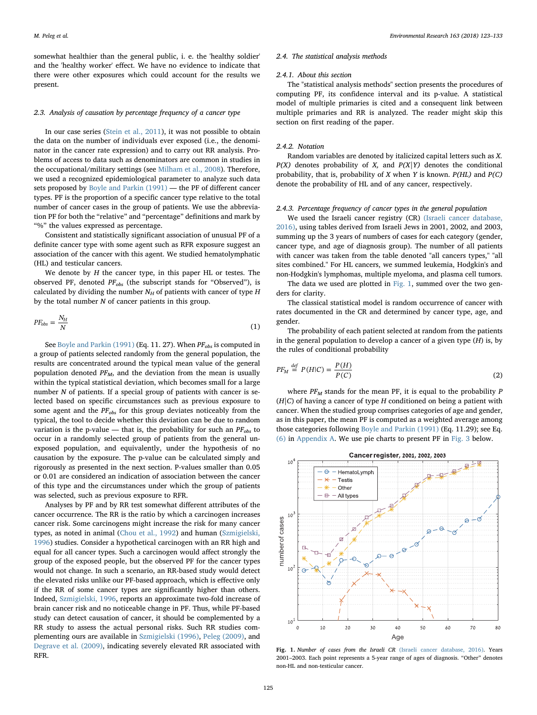somewhat healthier than the general public, i. e. the 'healthy soldier' and the 'healthy worker' effect. We have no evidence to indicate that there were other exposures which could account for the results we present.

#### 2.3. Analysis of causation by percentage frequency of a cancer type

In our case series ([Stein et al., 2011](#page-10-14)), it was not possible to obtain the data on the number of individuals ever exposed (i.e., the denominator in the cancer rate expression) and to carry out RR analysis. Problems of access to data such as denominators are common in studies in the occupational/military settings (see [Milham et al., 2008\)](#page-10-16). Therefore, we used a recognized epidemiological parameter to analyze such data sets proposed by [Boyle and Parkin \(1991\)](#page-10-15) — the PF of different cancer types. PF is the proportion of a specific cancer type relative to the total number of cancer cases in the group of patients. We use the abbreviation PF for both the "relative" and "percentage" definitions and mark by "%" the values expressed as percentage.

Consistent and statistically significant association of unusual PF of a definite cancer type with some agent such as RFR exposure suggest an association of the cancer with this agent. We studied hematolymphatic (HL) and testicular cancers.

We denote by  $H$  the cancer type, in this paper HL or testes. The observed PF, denoted  $PF_{obs}$  (the subscript stands for "Observed"), is calculated by dividing the number  $N_H$  of patients with cancer of type  $H$ by the total number  $N$  of cancer patients in this group.

<span id="page-2-1"></span>
$$
PF_{obs} = \frac{N_H}{N} \tag{1}
$$

See [Boyle and Parkin \(1991\)](#page-10-15) (Eq. 11. 27). When  $PF_{obs}$  is computed in a group of patients selected randomly from the general population, the results are concentrated around the typical mean value of the general population denoted  $PF_M$ , and the deviation from the mean is usually within the typical statistical deviation, which becomes small for a large number N of patients. If a special group of patients with cancer is selected based on specific circumstances such as previous exposure to some agent and the  $PF_{obs}$  for this group deviates noticeably from the typical, the tool to decide whether this deviation can be due to random variation is the p-value — that is, the probability for such an  $PF_{obs}$  to occur in a randomly selected group of patients from the general unexposed population, and equivalently, under the hypothesis of no causation by the exposure. The p-value can be calculated simply and rigorously as presented in the next section. P-values smaller than 0.05 or 0.01 are considered an indication of association between the cancer of this type and the circumstances under which the group of patients was selected, such as previous exposure to RFR.

Analyses by PF and by RR test somewhat different attributes of the cancer occurrence. The RR is the ratio by which a carcinogen increases cancer risk. Some carcinogens might increase the risk for many cancer types, as noted in animal [\(Chou et al., 1992](#page-10-3)) and human ([Szmigielski,](#page-10-17) [1996\)](#page-10-17) studies. Consider a hypothetical carcinogen with an RR high and equal for all cancer types. Such a carcinogen would affect strongly the group of the exposed people, but the observed PF for the cancer types would not change. In such a scenario, an RR-based study would detect the elevated risks unlike our PF-based approach, which is effective only if the RR of some cancer types are significantly higher than others. Indeed, [Szmigielski, 1996,](#page-10-17) reports an approximate two-fold increase of brain cancer risk and no noticeable change in PF. Thus, while PF-based study can detect causation of cancer, it should be complemented by a RR study to assess the actual personal risks. Such RR studies complementing ours are available in [Szmigielski \(1996\),](#page-10-17) [Peleg \(2009\),](#page-10-18) and [Degrave et al. \(2009\),](#page-10-19) indicating severely elevated RR associated with RFR.

#### 2.4. The statistical analysis methods

## 2.4.1. About this section

The "statistical analysis methods" section presents the procedures of computing PF, its confidence interval and its p-value. A statistical model of multiple primaries is cited and a consequent link between multiple primaries and RR is analyzed. The reader might skip this section on first reading of the paper.

## 2.4.2. Notation

Random variables are denoted by italicized capital letters such as X.  $P(X)$  denotes probability of X, and  $P(X|Y)$  denotes the conditional probability, that is, probability of  $X$  when  $Y$  is known.  $P(HL)$  and  $P(C)$ denote the probability of HL and of any cancer, respectively.

#### 2.4.3. Percentage frequency of cancer types in the general population

We used the Israeli cancer registry (CR) [\(Israeli cancer database,](#page-10-20) [2016\),](#page-10-20) using tables derived from Israeli Jews in 2001, 2002, and 2003, summing up the 3 years of numbers of cases for each category (gender, cancer type, and age of diagnosis group). The number of all patients with cancer was taken from the table denoted "all cancers types," "all sites combined." For HL cancers, we summed leukemia, Hodgkin's and non-Hodgkin's lymphomas, multiple myeloma, and plasma cell tumors.

The data we used are plotted in [Fig. 1,](#page-2-0) summed over the two genders for clarity.

The classical statistical model is random occurrence of cancer with rates documented in the CR and determined by cancer type, age, and gender.

The probability of each patient selected at random from the patients in the general population to develop a cancer of a given type  $(H)$  is, by the rules of conditional probability

$$
PF_M \stackrel{def}{=} P(H|C) = \frac{P(H)}{P(C)}\tag{2}
$$

where  $PF_M$  stands for the mean PF, it is equal to the probability  $P$  $(H|C)$  of having a cancer of type H conditioned on being a patient with cancer. When the studied group comprises categories of age and gender, as in this paper, the mean PF is computed as a weighted average among those categories following [Boyle and Parkin \(1991\)](#page-10-15) (Eq. 11.29); see Eq. [\(6\)](#page-8-0) in [Appendix A](#page-8-1). We use pie charts to present PF in [Fig. 3](#page-6-0) below.

<span id="page-2-0"></span>

Fig. 1. Number of cases from the Israeli CR [\(Israeli cancer database, 2016\)](#page-10-20). Years 2001–2003. Each point represents a 5-year range of ages of diagnosis. "Other" denotes non-HL and non-testicular cancer.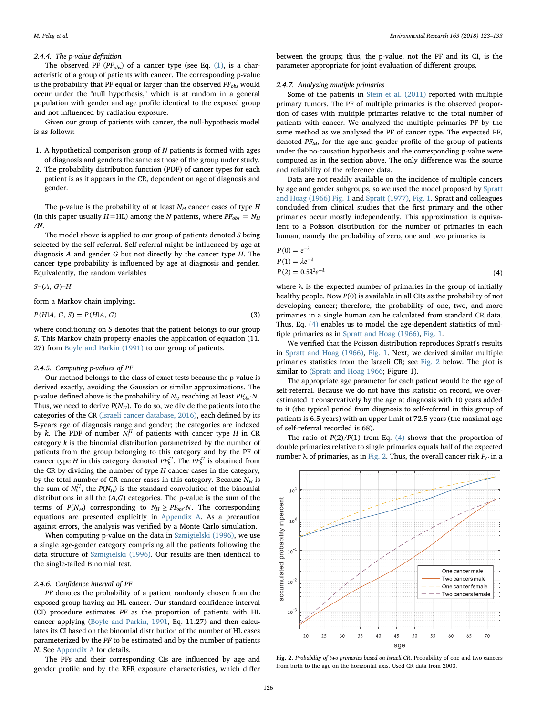#### 2.4.4. The p-value definition

The observed PF ( $PF_{obs}$ ) of a cancer type (see Eq. [\(1\),](#page-2-1) is a characteristic of a group of patients with cancer. The corresponding p-value is the probability that PF equal or larger than the observed  $PF_{obs}$  would occur under the "null hypothesis," which is at random in a general population with gender and age profile identical to the exposed group and not influenced by radiation exposure.

Given our group of patients with cancer, the null-hypothesis model is as follows:

- 1. A hypothetical comparison group of N patients is formed with ages of diagnosis and genders the same as those of the group under study.
- 2. The probability distribution function (PDF) of cancer types for each patient is as it appears in the CR, dependent on age of diagnosis and gender.

The p-value is the probability of at least  $N_H$  cancer cases of type H (in this paper usually  $H=HL$ ) among the N patients, where  $PF_{obs} = N_H$  $/N$ .

The model above is applied to our group of patients denoted  $S$  being selected by the self-referral. Self-referral might be influenced by age at diagnosis A and gender G but not directly by the cancer type H. The cancer type probability is influenced by age at diagnosis and gender. Equivalently, the random variables

 $S-(A, G)-H$ 

form a Markov chain implying:.

$$
P(H|A, G, S) = P(H|A, G)
$$
\n<sup>(3)</sup>

where conditioning on S denotes that the patient belongs to our group S. This Markov chain property enables the application of equation (11. 27) from [Boyle and Parkin \(1991\)](#page-10-15) to our group of patients.

#### 2.4.5. Computing p-values of PF

Our method belongs to the class of exact tests because the p-value is derived exactly, avoiding the Gaussian or similar approximations. The p-value defined above is the probability of *NH* reaching at least *PF*<sub>obs</sub>⋅*N*. Thus, we need to derive  $P(N_H)$ . To do so, we divide the patients into the categories of the CR [\(Israeli cancer database, 2016\)](#page-10-20), each defined by its 5-years age of diagnosis range and gender; the categories are indexed by k. The PDF of number  $N_k^H$  of patients with cancer type H in CR category  $k$  is the binomial distribution parametrized by the number of patients from the group belonging to this category and by the PF of cancer type *H* in this category denoted  $PF_{k}^{H}$ . The  $PF_{k}^{H}$  is obtained from the CR by dividing the number of type  $H$  cancer cases in the category, by the total number of CR cancer cases in this category. Because  $N_H$  is the sum of  $N_k^H$ , the  $P(N_H)$  is the standard convolution of the binomial distributions in all the  $(A, G)$  categories. The p-value is the sum of the terms of  $P(N_H)$  corresponding to  $N_H \geq P F_{obs} N$ . The corresponding equations are presented explicitly in [Appendix A.](#page-8-1) As a precaution against errors, the analysis was verified by a Monte Carlo simulation.

When computing p-value on the data in [Szmigielski \(1996\),](#page-10-17) we use a single age-gender category comprising all the patients following the data structure of [Szmigielski \(1996\)](#page-10-17). Our results are then identical to the single-tailed Binomial test.

#### 2.4.6. Confidence interval of PF

PF denotes the probability of a patient randomly chosen from the exposed group having an HL cancer. Our standard confidence interval (CI) procedure estimates PF as the proportion of patients with HL cancer applying ([Boyle and Parkin, 1991](#page-10-15), Eq. 11.27) and then calculates its CI based on the binomial distribution of the number of HL cases parameterized by the PF to be estimated and by the number of patients N. See [Appendix A](#page-8-1) for details.

The PFs and their corresponding CIs are influenced by age and gender profile and by the RFR exposure characteristics, which differ between the groups; thus, the p-value, not the PF and its CI, is the parameter appropriate for joint evaluation of different groups.

#### 2.4.7. Analyzing multiple primaries

Some of the patients in [Stein et al. \(2011\)](#page-10-14) reported with multiple primary tumors. The PF of multiple primaries is the observed proportion of cases with multiple primaries relative to the total number of patients with cancer. We analyzed the multiple primaries PF by the same method as we analyzed the PF of cancer type. The expected PF, denoted  $PF_M$ , for the age and gender profile of the group of patients under the no-causation hypothesis and the corresponding p-value were computed as in the section above. The only difference was the source and reliability of the reference data.

Data are not readily available on the incidence of multiple cancers by age and gender subgroups, so we used the model proposed by [Spratt](#page-10-21) [and Hoag \(1966\)](#page-10-21) [Fig. 1](#page-2-0) and [Spratt \(1977\),](#page-10-22) [Fig. 1.](#page-2-0) Spratt and colleagues concluded from clinical studies that the first primary and the other primaries occur mostly independently. This approximation is equivalent to a Poisson distribution for the number of primaries in each human, namely the probability of zero, one and two primaries is

<span id="page-3-0"></span>
$$
P(0) = e^{-\lambda}
$$
  
\n
$$
P(1) = \lambda e^{-\lambda}
$$
  
\n
$$
P(2) = 0.5\lambda^2 e^{-\lambda}
$$
\n(4)

where  $\lambda$  is the expected number of primaries in the group of initially healthy people. Now P(0) is available in all CRs as the probability of not developing cancer; therefore, the probability of one, two, and more primaries in a single human can be calculated from standard CR data. Thus, Eq. [\(4\)](#page-3-0) enables us to model the age-dependent statistics of multiple primaries as in [Spratt and Hoag \(1966\)](#page-10-21), [Fig. 1.](#page-2-0)

We verified that the Poisson distribution reproduces Spratt's results in [Spratt and Hoag \(1966\)](#page-10-21), [Fig. 1.](#page-2-0) Next, we derived similar multiple primaries statistics from the Israeli CR; see [Fig. 2](#page-3-1) below. The plot is similar to [\(Spratt and Hoag 1966;](#page-10-21) Figure 1).

The appropriate age parameter for each patient would be the age of self-referral. Because we do not have this statistic on record, we overestimated it conservatively by the age at diagnosis with 10 years added to it (the typical period from diagnosis to self-referral in this group of patients is 6.5 years) with an upper limit of 72.5 years (the maximal age of self-referral recorded is 68).

The ratio of  $P(2)/P(1)$  from Eq. [\(4\)](#page-3-0) shows that the proportion of double primaries relative to single primaries equals half of the expected number λ of primaries, as in [Fig. 2](#page-3-1). Thus, the overall cancer risk  $P_C$  in a

<span id="page-3-1"></span>

Fig. 2. Probability of two primaries based on Israeli CR. Probability of one and two cancers from birth to the age on the horizontal axis. Used CR data from 2003.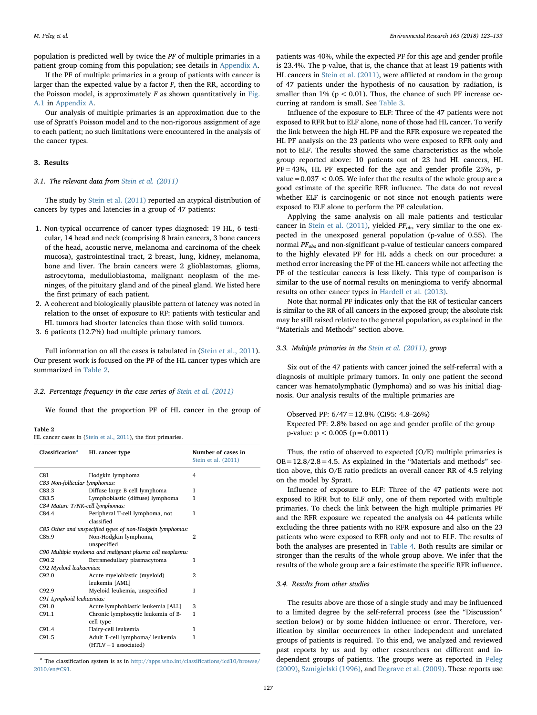population is predicted well by twice the PF of multiple primaries in a patient group coming from this population; see details in [Appendix A.](#page-8-1)

If the PF of multiple primaries in a group of patients with cancer is larger than the expected value by a factor  $F$ , then the RR, according to the Poisson model, is approximately  $F$  as shown quantitatively in [Fig.](#page-9-0) [A.1](#page-9-0) in [Appendix A.](#page-8-1)

Our analysis of multiple primaries is an approximation due to the use of Spratt's Poisson model and to the non-rigorous assignment of age to each patient; no such limitations were encountered in the analysis of the cancer types.

#### 3. Results

#### 3.1. The relevant data from [Stein et al. \(2011\)](#page-10-14)

The study by [Stein et al. \(2011\)](#page-10-14) reported an atypical distribution of cancers by types and latencies in a group of 47 patients:

- 1. Non-typical occurrence of cancer types diagnosed: 19 HL, 6 testicular, 14 head and neck (comprising 8 brain cancers, 3 bone cancers of the head, acoustic nerve, melanoma and carcinoma of the cheek mucosa), gastrointestinal tract, 2 breast, lung, kidney, melanoma, bone and liver. The brain cancers were 2 glioblastomas, glioma, astrocytoma, medulloblastoma, malignant neoplasm of the meninges, of the pituitary gland and of the pineal gland. We listed here the first primary of each patient.
- 2. A coherent and biologically plausible pattern of latency was noted in relation to the onset of exposure to RF: patients with testicular and HL tumors had shorter latencies than those with solid tumors.
- 3. 6 patients (12.7%) had multiple primary tumors.

Full information on all the cases is tabulated in ([Stein et al., 2011](#page-10-14)). Our present work is focused on the PF of the HL cancer types which are summarized in [Table 2](#page-4-0).

#### 3.2. Percentage frequency in the case series of [Stein et al. \(2011\)](#page-10-14)

We found that the proportion PF of HL cancer in the group of

#### <span id="page-4-0"></span>Table 2

HL cancer cases in [\(Stein et al., 2011\)](#page-10-14), the first primaries.

| Classification <sup>a</sup>     | HL cancer type                                            | Number of cases in<br>Stein et al. (2011) |  |  |  |  |
|---------------------------------|-----------------------------------------------------------|-------------------------------------------|--|--|--|--|
| C81                             | Hodgkin lymphoma                                          | 4                                         |  |  |  |  |
| C83 Non-follicular lymphomas:   |                                                           |                                           |  |  |  |  |
| C83.3                           | Diffuse large B cell lymphoma                             | 1                                         |  |  |  |  |
| C83.5                           | Lymphoblastic (diffuse) lymphoma                          | 1                                         |  |  |  |  |
| C84 Mature T/NK-cell lymphomas: |                                                           |                                           |  |  |  |  |
| C84.4                           | Peripheral T-cell lymphoma, not                           | 1                                         |  |  |  |  |
|                                 | classified                                                |                                           |  |  |  |  |
|                                 | C85 Other and unspecified types of non-Hodgkin lymphomas: |                                           |  |  |  |  |
| C85.9                           | Non-Hodgkin lymphoma,                                     | $\overline{2}$                            |  |  |  |  |
|                                 | unspecified                                               |                                           |  |  |  |  |
|                                 | C90 Multiple myeloma and malignant plasma cell neoplasms: |                                           |  |  |  |  |
| C90.2                           | Extramedullary plasmacytoma                               | 1                                         |  |  |  |  |
| C92 Myeloid leukaemias:         |                                                           |                                           |  |  |  |  |
| C92.0                           | Acute myeloblastic (myeloid)                              | $\mathbf{2}$                              |  |  |  |  |
|                                 | leukemia [AML]                                            |                                           |  |  |  |  |
| C92.9                           | Myeloid leukemia, unspecified                             | 1                                         |  |  |  |  |
| C91 Lymphoid leukaemias:        |                                                           |                                           |  |  |  |  |
| C91.0                           | Acute lymphoblastic leukemia [ALL]                        | 3                                         |  |  |  |  |
| C91.1                           | Chronic lymphocytic leukemia of B-                        | 1                                         |  |  |  |  |
|                                 | cell type                                                 |                                           |  |  |  |  |
| C91.4                           | Hairy-cell leukemia                                       | 1                                         |  |  |  |  |
| C91.5                           | Adult T-cell lymphoma/ leukemia                           | 1                                         |  |  |  |  |
|                                 | $(HTLV - 1$ associated)                                   |                                           |  |  |  |  |

<span id="page-4-1"></span><sup>a</sup> The classification system is as in [http://apps.who.int/classi](http://apps.who.int/classifications/icd10/browse/2010/en#C91)fications/icd10/browse/ [2010/en#C91.](http://apps.who.int/classifications/icd10/browse/2010/en#C91)

patients was 40%, while the expected PF for this age and gender profile is 23.4%. The p-value, that is, the chance that at least 19 patients with HL cancers in [Stein et al. \(2011\),](#page-10-14) were afflicted at random in the group of 47 patients under the hypothesis of no causation by radiation, is smaller than 1% ( $p < 0.01$ ). Thus, the chance of such PF increase occurring at random is small. See [Table 3](#page-5-0).

Influence of the exposure to ELF: Three of the 47 patients were not exposed to RFR but to ELF alone, none of those had HL cancer. To verify the link between the high HL PF and the RFR exposure we repeated the HL PF analysis on the 23 patients who were exposed to RFR only and not to ELF. The results showed the same characteristics as the whole group reported above: 10 patients out of 23 had HL cancers, HL PF=43%, HL PF expected for the age and gender profile 25%, pvalue=0.037 < 0.05. We infer that the results of the whole group are a good estimate of the specific RFR influence. The data do not reveal whether ELF is carcinogenic or not since not enough patients were exposed to ELF alone to perform the PF calculation.

Applying the same analysis on all male patients and testicular cancer in [Stein et al. \(2011\)](#page-10-14), yielded  $PF_{obs}$  very similar to the one expected in the unexposed general population (p-value of 0.55). The normal  $PF_{obs}$  and non-significant p-value of testicular cancers compared to the highly elevated PF for HL adds a check on our procedure: a method error increasing the PF of the HL cancers while not affecting the PF of the testicular cancers is less likely. This type of comparison is similar to the use of normal results on meningioma to verify abnormal results on other cancer types in [Hardell et al. \(2013\).](#page-10-2)

Note that normal PF indicates only that the RR of testicular cancers is similar to the RR of all cancers in the exposed group; the absolute risk may be still raised relative to the general population, as explained in the "Materials and Methods" section above.

### 3.3. Multiple primaries in the [Stein et al. \(2011\)](#page-10-14), group

Six out of the 47 patients with cancer joined the self-referral with a diagnosis of multiple primary tumors. In only one patient the second cancer was hematolymphatic (lymphoma) and so was his initial diagnosis. Our analysis results of the multiple primaries are

Observed PF: 6/47=12.8% (CI95: 4.8–26%) Expected PF: 2.8% based on age and gender profile of the group p-value: p < 0.005 (p=0.0011)

Thus, the ratio of observed to expected (O/E) multiple primaries is  $OE = 12.8/2.8 = 4.5$ . As explained in the "Materials and methods" section above, this O/E ratio predicts an overall cancer RR of 4.5 relying on the model by Spratt.

Influence of exposure to ELF: Three of the 47 patients were not exposed to RFR but to ELF only, one of them reported with multiple primaries. To check the link between the high multiple primaries PF and the RFR exposure we repeated the analysis on 44 patients while excluding the three patients with no RFR exposure and also on the 23 patients who were exposed to RFR only and not to ELF. The results of both the analyses are presented in [Table 4](#page-5-1). Both results are similar or stronger than the results of the whole group above. We infer that the results of the whole group are a fair estimate the specific RFR influence.

#### 3.4. Results from other studies

The results above are those of a single study and may be influenced to a limited degree by the self-referral process (see the "Discussion" section below) or by some hidden influence or error. Therefore, verification by similar occurrences in other independent and unrelated groups of patients is required. To this end, we analyzed and reviewed past reports by us and by other researchers on different and independent groups of patients. The groups were as reported in [Peleg](#page-10-18) [\(2009\),](#page-10-18) [Szmigielski \(1996\)](#page-10-17), and [Degrave et al. \(2009\)](#page-10-19). These reports use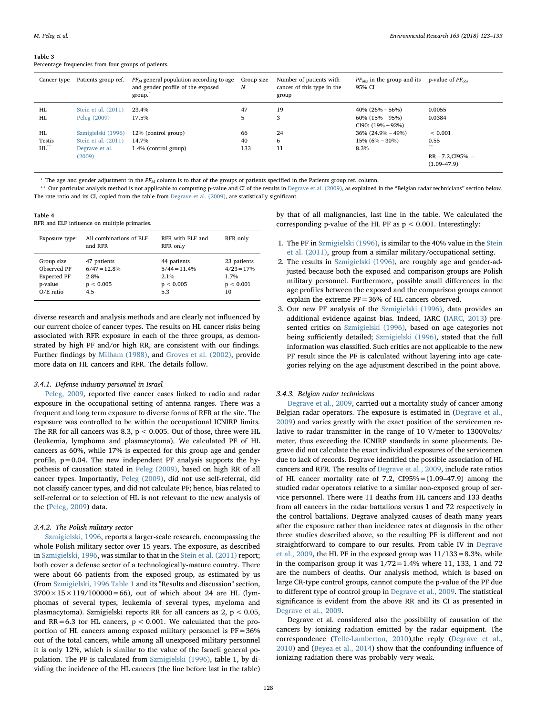<span id="page-5-0"></span>

| я<br>ı<br>ונו |
|---------------|
|---------------|

| Percentage frequencies from four groups of patients. |  |  |  |
|------------------------------------------------------|--|--|--|
|                                                      |  |  |  |

| Cancer type                                    | Patients group ref.                                                                                | $PF_M$ general population according to age<br>and gender profile of the exposed<br>group. | Group size<br>N            | Number of patients with<br>cancer of this type in the<br>group | $PF_{obs}$ in the group and its<br>95% CI                                                                                | p-value of $PF_{obs}$                         |
|------------------------------------------------|----------------------------------------------------------------------------------------------------|-------------------------------------------------------------------------------------------|----------------------------|----------------------------------------------------------------|--------------------------------------------------------------------------------------------------------------------------|-----------------------------------------------|
| HL<br>HL<br>HL<br>Testis<br>$HL$ <sup>**</sup> | Stein et al. (2011)<br>Peleg (2009)<br>Szmigielski (1996)<br>Stein et al. (2011)<br>Degrave et al. | 23.4%<br>17.5%<br>12% (control group)<br>14.7%<br>1.4% (control group)                    | 47<br>5<br>66<br>40<br>133 | 19<br>3<br>24<br>6<br>11                                       | $40\%$ (26% – 56%)<br>$60\%$ (15% – 95%)<br>$CI90: (19% - 92%)$<br>$36\% (24.9\% - 49\%)$<br>$15\% (6\% - 30\%)$<br>8.3% | 0.0055<br>0.0384<br>${}< 0.001$<br>0.55<br>含金 |
|                                                | (2009)                                                                                             |                                                                                           |                            |                                                                |                                                                                                                          | $RR = 7.2$ , CI95% =<br>$(1.09 - 47.9)$       |

<span id="page-5-2"></span> $*$  The age and gender adjustment in the PF<sub>M</sub> column is to that of the groups of patients specified in the Patients group ref. column.

<span id="page-5-3"></span>\*\* Our particular analysis method is not applicable to computing p-value and CI of the results in [Degrave et al. \(2009\)](#page-10-19), as explained in the "Belgian radar technicians" section below. The rate ratio and its CI, copied from the table from [Degrave et al. \(2009\)](#page-10-19), are statistically significant.

<span id="page-5-1"></span>Table 4

RFR and ELF influence on multiple primaries.

| Exposure type:     | All combinations of ELF<br>and RFR | RFR with ELF and<br>RFR only | RFR only     |
|--------------------|------------------------------------|------------------------------|--------------|
| Group size         | 47 patients                        | 44 patients                  | 23 patients  |
| Observed PF        | $6/47 = 12.8%$                     | $5/44 = 11.4%$               | $4/23 = 17%$ |
| <b>Expected PF</b> | 2.8%                               | $2.1\%$                      | 1.7%         |
| p-value            | p < 0.005                          | p < 0.005                    | p < 0.001    |
| $O/E$ ratio        | 4.5                                | 5.3                          | 10           |

diverse research and analysis methods and are clearly not influenced by our current choice of cancer types. The results on HL cancer risks being associated with RFR exposure in each of the three groups, as demonstrated by high PF and/or high RR, are consistent with our findings. Further findings by [Milham \(1988\)](#page-10-23), and [Groves et al. \(2002\),](#page-10-24) provide more data on HL cancers and RFR. The details follow.

#### 3.4.1. Defense industry personnel in Israel

[Peleg, 2009,](#page-10-18) reported five cancer cases linked to radio and radar exposure in the occupational setting of antenna ranges. There was a frequent and long term exposure to diverse forms of RFR at the site. The exposure was controlled to be within the occupational ICNIRP limits. The RR for all cancers was 8.3,  $p < 0.005$ . Out of those, three were HL (leukemia, lymphoma and plasmacytoma). We calculated PF of HL cancers as 60%, while 17% is expected for this group age and gender profile,  $p=0.04$ . The new independent PF analysis supports the hypothesis of causation stated in [Peleg \(2009\),](#page-10-18) based on high RR of all cancer types. Importantly, [Peleg \(2009\)](#page-10-18), did not use self-referral, did not classify cancer types, and did not calculate PF; hence, bias related to self-referral or to selection of HL is not relevant to the new analysis of the [\(Peleg, 2009](#page-10-18)) data.

### 3.4.2. The Polish military sector

[Szmigielski, 1996](#page-10-17), reports a larger-scale research, encompassing the whole Polish military sector over 15 years. The exposure, as described in [Szmigielski, 1996](#page-10-17), was similar to that in the [Stein et al. \(2011\)](#page-10-14) report; both cover a defense sector of a technologically-mature country. There were about 66 patients from the exposed group, as estimated by us (from [Szmigielski, 1996](#page-10-17) [Table 1](#page-1-0) and its "Results and discussion" section,  $3700 \times 15 \times 119/100000 = 66$ , out of which about 24 are HL (lymphomas of several types, leukemia of several types, myeloma and plasmacytoma). Szmigielski reports RR for all cancers as 2, p < 0.05, and  $RR = 6.3$  for HL cancers,  $p < 0.001$ . We calculated that the proportion of HL cancers among exposed military personnel is PF=36% out of the total cancers, while among all unexposed military personnel it is only 12%, which is similar to the value of the Israeli general population. The PF is calculated from [Szmigielski \(1996\),](#page-10-17) table 1, by dividing the incidence of the HL cancers (the line before last in the table)

by that of all malignancies, last line in the table. We calculated the corresponding p-value of the HL PF as  $p < 0.001$ . Interestingly:

- 1. The PF in [Szmigielski \(1996\)](#page-10-17), is similar to the 40% value in the [Stein](#page-10-14) [et al. \(2011\),](#page-10-14) group from a similar military/occupational setting.
- 2. The results in [Szmigielski \(1996\)](#page-10-17), are roughly age and gender-adjusted because both the exposed and comparison groups are Polish military personnel. Furthermore, possible small differences in the age profiles between the exposed and the comparison groups cannot explain the extreme PF=36% of HL cancers observed.
- 3. Our new PF analysis of the [Szmigielski \(1996\),](#page-10-17) data provides an additional evidence against bias. Indeed, IARC [\(IARC, 2013](#page-10-9)) presented critics on [Szmigielski \(1996\)](#page-10-17), based on age categories not being sufficiently detailed; [Szmigielski \(1996\)](#page-10-17), stated that the full information was classified. Such critics are not applicable to the new PF result since the PF is calculated without layering into age categories relying on the age adjustment described in the point above.

### 3.4.3. Belgian radar technicians

[Degrave et al., 2009,](#page-10-19) carried out a mortality study of cancer among Belgian radar operators. The exposure is estimated in [\(Degrave et al.,](#page-10-19) [2009\)](#page-10-19) and varies greatly with the exact position of the servicemen relative to radar transmitter in the range of 10 V/meter to 1300Volts/ meter, thus exceeding the ICNIRP standards in some placements. Degrave did not calculate the exact individual exposures of the servicemen due to lack of records. Degrave identified the possible association of HL cancers and RFR. The results of [Degrave et al., 2009](#page-10-19), include rate ratios of HL cancer mortality rate of 7.2,  $CI95% = (1.09-47.9)$  among the studied radar operators relative to a similar non-exposed group of service personnel. There were 11 deaths from HL cancers and 133 deaths from all cancers in the radar battalions versus 1 and 72 respectively in the control battalions. Degrave analyzed causes of death many years after the exposure rather than incidence rates at diagnosis in the other three studies described above, so the resulting PF is different and not straightforward to compare to our results. From table IV in [Degrave](#page-10-19) [et al., 2009,](#page-10-19) the HL PF in the exposed group was 11/133=8.3%, while in the comparison group it was  $1/72=1.4%$  where 11, 133, 1 and 72 are the numbers of deaths. Our analysis method, which is based on large CR-type control groups, cannot compute the p-value of the PF due to different type of control group in [Degrave et al., 2009](#page-10-19). The statistical significance is evident from the above RR and its CI as presented in [Degrave et al., 2009.](#page-10-19)

Degrave et al. considered also the possibility of causation of the cancers by ionizing radiation emitted by the radar equipment. The correspondence ([Telle-Lamberton, 2010](#page-10-25)),the reply ([Degrave et al.,](#page-10-26) [2010\)](#page-10-26) and ([Beyea et al., 2014](#page-10-27)) show that the confounding influence of ionizing radiation there was probably very weak.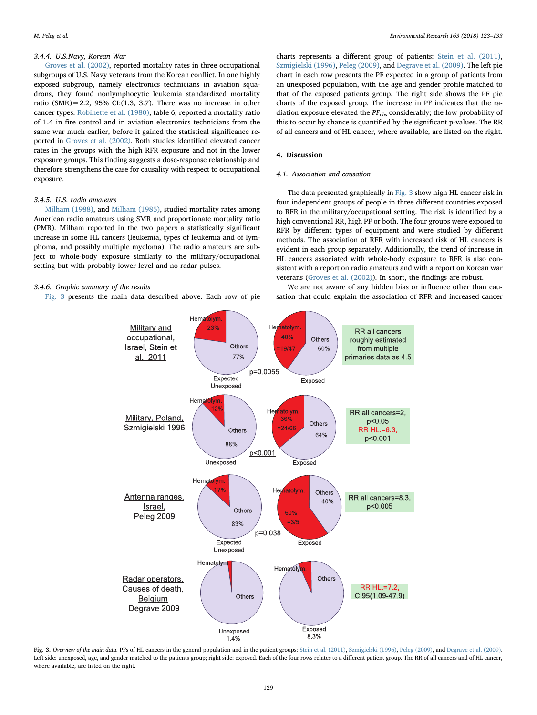#### 3.4.4. U.S.Navy, Korean War

[Groves et al. \(2002\)](#page-10-24), reported mortality rates in three occupational subgroups of U.S. Navy veterans from the Korean conflict. In one highly exposed subgroup, namely electronics technicians in aviation squadrons, they found nonlymphocytic leukemia standardized mortality ratio  $(SMR) = 2.2$ , 95% CI:(1.3, 3.7). There was no increase in other cancer types. [Robinette et al. \(1980\),](#page-10-28) table 6, reported a mortality ratio of 1.4 in fire control and in aviation electronics technicians from the same war much earlier, before it gained the statistical significance reported in [Groves et al. \(2002\)](#page-10-24). Both studies identified elevated cancer rates in the groups with the high RFR exposure and not in the lower exposure groups. This finding suggests a dose-response relationship and therefore strengthens the case for causality with respect to occupational exposure.

#### 3.4.5. U.S. radio amateurs

[Milham \(1988\),](#page-10-23) and [Milham \(1985\)](#page-10-29), studied mortality rates among American radio amateurs using SMR and proportionate mortality ratio (PMR). Milham reported in the two papers a statistically significant increase in some HL cancers (leukemia, types of leukemia and of lymphoma, and possibly multiple myeloma). The radio amateurs are subject to whole-body exposure similarly to the military/occupational setting but with probably lower level and no radar pulses.

#### 3.4.6. Graphic summary of the results

<span id="page-6-0"></span>[Fig. 3](#page-6-0) presents the main data described above. Each row of pie

charts represents a different group of patients: [Stein et al. \(2011\)](#page-10-14), [Szmigielski \(1996\)](#page-10-17), [Peleg \(2009\)](#page-10-18), and [Degrave et al. \(2009\)](#page-10-19). The left pie chart in each row presents the PF expected in a group of patients from an unexposed population, with the age and gender profile matched to that of the exposed patients group. The right side shows the PF pie charts of the exposed group. The increase in PF indicates that the radiation exposure elevated the  $PF_{obs}$  considerably; the low probability of this to occur by chance is quantified by the significant p-values. The RR of all cancers and of HL cancer, where available, are listed on the right.

## 4. Discussion

#### 4.1. Association and causation

The data presented graphically in [Fig. 3](#page-6-0) show high HL cancer risk in four independent groups of people in three different countries exposed to RFR in the military/occupational setting. The risk is identified by a high conventional RR, high PF or both. The four groups were exposed to RFR by different types of equipment and were studied by different methods. The association of RFR with increased risk of HL cancers is evident in each group separately. Additionally, the trend of increase in HL cancers associated with whole-body exposure to RFR is also consistent with a report on radio amateurs and with a report on Korean war veterans ([Groves et al. \(2002\)](#page-10-24)). In short, the findings are robust.

We are not aware of any hidden bias or influence other than causation that could explain the association of RFR and increased cancer



Fig. 3. Overview of the main data. PFs of HL cancers in the general population and in the patient groups: [Stein et al. \(2011\),](#page-10-14) [Szmigielski \(1996\)](#page-10-17), [Peleg \(2009\),](#page-10-18) and [Degrave et al. \(2009\).](#page-10-19) Left side: unexposed, age, and gender matched to the patients group; right side: exposed. Each of the four rows relates to a different patient group. The RR of all cancers and of HL cancer, where available, are listed on the right.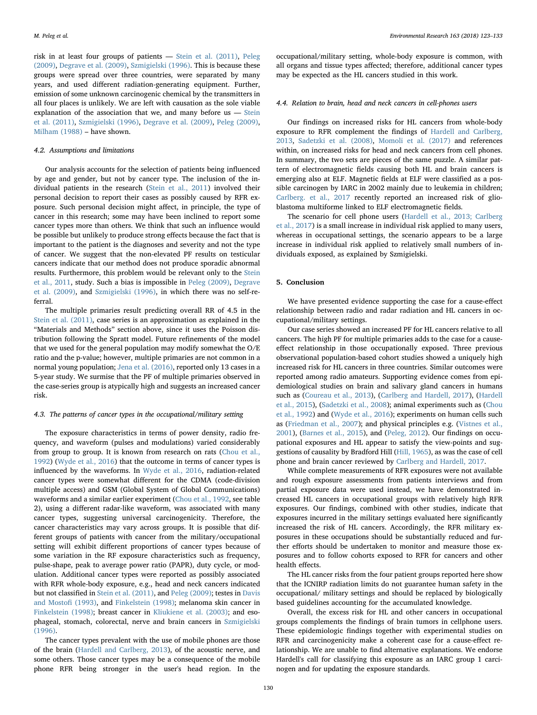risk in at least four groups of patients — [Stein et al. \(2011\),](#page-10-14) [Peleg](#page-10-18) [\(2009\),](#page-10-18) [Degrave et al. \(2009\),](#page-10-19) [Szmigielski \(1996\)](#page-10-17). This is because these groups were spread over three countries, were separated by many years, and used different radiation-generating equipment. Further, emission of some unknown carcinogenic chemical by the transmitters in all four places is unlikely. We are left with causation as the sole viable explanation of the association that we, and many before us — [Stein](#page-10-14) [et al. \(2011\)](#page-10-14), [Szmigielski \(1996\)](#page-10-17), [Degrave et al. \(2009\),](#page-10-19) [Peleg \(2009\)](#page-10-18), [Milham \(1988\)](#page-10-23) – have shown.

#### 4.2. Assumptions and limitations

Our analysis accounts for the selection of patients being influenced by age and gender, but not by cancer type. The inclusion of the individual patients in the research [\(Stein et al., 2011](#page-10-14)) involved their personal decision to report their cases as possibly caused by RFR exposure. Such personal decision might affect, in principle, the type of cancer in this research; some may have been inclined to report some cancer types more than others. We think that such an influence would be possible but unlikely to produce strong effects because the fact that is important to the patient is the diagnoses and severity and not the type of cancer. We suggest that the non-elevated PF results on testicular cancers indicate that our method does not produce sporadic abnormal results. Furthermore, this problem would be relevant only to the [Stein](#page-10-14) [et al., 2011,](#page-10-14) study. Such a bias is impossible in [Peleg \(2009\),](#page-10-18) [Degrave](#page-10-19) [et al. \(2009\),](#page-10-19) and [Szmigielski \(1996\),](#page-10-17) in which there was no self-referral.

The multiple primaries result predicting overall RR of 4.5 in the [Stein et al. \(2011\),](#page-10-14) case series is an approximation as explained in the "Materials and Methods" section above, since it uses the Poisson distribution following the Spratt model. Future refinements of the model that we used for the general population may modify somewhat the O/E ratio and the p-value; however, multiple primaries are not common in a normal young population; [Jena et al. \(2016\),](#page-10-30) reported only 13 cases in a 5-year study. We surmise that the PF of multiple primaries observed in the case-series group is atypically high and suggests an increased cancer risk.

#### 4.3. The patterns of cancer types in the occupational/military setting

The exposure characteristics in terms of power density, radio frequency, and waveform (pulses and modulations) varied considerably from group to group. It is known from research on rats [\(Chou et al.,](#page-10-3) [1992\)](#page-10-3) [\(Wyde et al., 2016](#page-10-4)) that the outcome in terms of cancer types is influenced by the waveforms. In [Wyde et al., 2016,](#page-10-4) radiation-related cancer types were somewhat different for the CDMA (code-division multiple access) and GSM (Global System of Global Communications) waveforms and a similar earlier experiment (Chou [et al., 1992](#page-10-3), see table 2), using a different radar-like waveform, was associated with many cancer types, suggesting universal carcinogenicity. Therefore, the cancer characteristics may vary across groups. It is possible that different groups of patients with cancer from the military/occupational setting will exhibit different proportions of cancer types because of some variation in the RF exposure characteristics such as frequency, pulse-shape, peak to average power ratio (PAPR), duty cycle, or modulation. Additional cancer types were reported as possibly associated with RFR whole-body exposure, e.g., head and neck cancers indicated but not classified in [Stein et al. \(2011\),](#page-10-14) and [Peleg \(2009\);](#page-10-18) testes in [Davis](#page-10-31) [and Mosto](#page-10-31)fi (1993), and [Finkelstein \(1998\);](#page-10-32) melanoma skin cancer in [Finkelstein \(1998\)](#page-10-32); breast cancer in [Kliukiene et al. \(2003\);](#page-10-33) and esophageal, stomach, colorectal, nerve and brain cancers in [Szmigielski](#page-10-17) [\(1996\).](#page-10-17)

The cancer types prevalent with the use of mobile phones are those of the brain ([Hardell and Carlberg, 2013\)](#page-10-10), of the acoustic nerve, and some others. Those cancer types may be a consequence of the mobile phone RFR being stronger in the user's head region. In the

occupational/military setting, whole-body exposure is common, with all organs and tissue types affected; therefore, additional cancer types may be expected as the HL cancers studied in this work.

#### 4.4. Relation to brain, head and neck cancers in cell-phones users

Our findings on increased risks for HL cancers from whole-body exposure to RFR complement the findings of [Hardell and Carlberg,](#page-10-10) [2013,](#page-10-10) [Sadetzki et al. \(2008\)](#page-10-34), [Momoli et al. \(2017\)](#page-10-35) and references within, on increased risks for head and neck cancers from cell phones. In summary, the two sets are pieces of the same puzzle. A similar pattern of electromagnetic fields causing both HL and brain cancers is emerging also at ELF. Magnetic fields at ELF were classified as a possible carcinogen by IARC in 2002 mainly due to leukemia in children; [Carlberg. et al., 2017](#page-10-36) recently reported an increased risk of glioblastoma multiforme linked to ELF electromagnetic fields.

The scenario for cell phone users ([Hardell et al., 2013; Carlberg](#page-10-2) [et al., 2017](#page-10-2)) is a small increase in individual risk applied to many users, whereas in occupational settings, the scenario appears to be a large increase in individual risk applied to relatively small numbers of individuals exposed, as explained by Szmigielski.

#### 5. Conclusion

We have presented evidence supporting the case for a cause-effect relationship between radio and radar radiation and HL cancers in occupational/military settings.

Our case series showed an increased PF for HL cancers relative to all cancers. The high PF for multiple primaries adds to the case for a causeeffect relationship in those occupationally exposed. Three previous observational population-based cohort studies showed a uniquely high increased risk for HL cancers in three countries. Similar outcomes were reported among radio amateurs. Supporting evidence comes from epidemiological studies on brain and salivary gland cancers in humans such as [\(Coureau et al., 2013\)](#page-10-37), ([Carlberg and Hardell, 2017](#page-10-11)), [\(Hardell](#page-10-38) [et al., 2015\)](#page-10-38), [\(Sadetzki et al., 2008](#page-10-34)); animal experiments such as [\(Chou](#page-10-3) [et al., 1992\)](#page-10-3) and [\(Wyde et al., 2016\)](#page-10-4); experiments on human cells such as ([Friedman et al., 2007](#page-10-6)); and physical principles e.g. [\(Vistnes et al.,](#page-10-7) [2001\)](#page-10-7), ([Barnes et al., 2015\)](#page-10-5), and ([Peleg, 2012\)](#page-10-8). Our findings on occupational exposures and HL appear to satisfy the view-points and suggestions of causality by Bradford Hill [\(Hill, 1965](#page-10-12)), as was the case of cell phone and brain cancer reviewed by [Carlberg and Hardell, 2017](#page-10-11).

While complete measurements of RFR exposures were not available and rough exposure assessments from patients interviews and from partial exposure data were used instead, we have demonstrated increased HL cancers in occupational groups with relatively high RFR exposures. Our findings, combined with other studies, indicate that exposures incurred in the military settings evaluated here significantly increased the risk of HL cancers. Accordingly, the RFR military exposures in these occupations should be substantially reduced and further efforts should be undertaken to monitor and measure those exposures and to follow cohorts exposed to RFR for cancers and other health effects.

The HL cancer risks from the four patient groups reported here show that the ICNIRP radiation limits do not guarantee human safety in the occupational/ military settings and should be replaced by biologically based guidelines accounting for the accumulated knowledge.

Overall, the excess risk for HL and other cancers in occupational groups complements the findings of brain tumors in cellphone users. These epidemiologic findings together with experimental studies on RFR and carcinogenicity make a coherent case for a cause-effect relationship. We are unable to find alternative explanations. We endorse Hardell's call for classifying this exposure as an IARC group 1 carcinogen and for updating the exposure standards.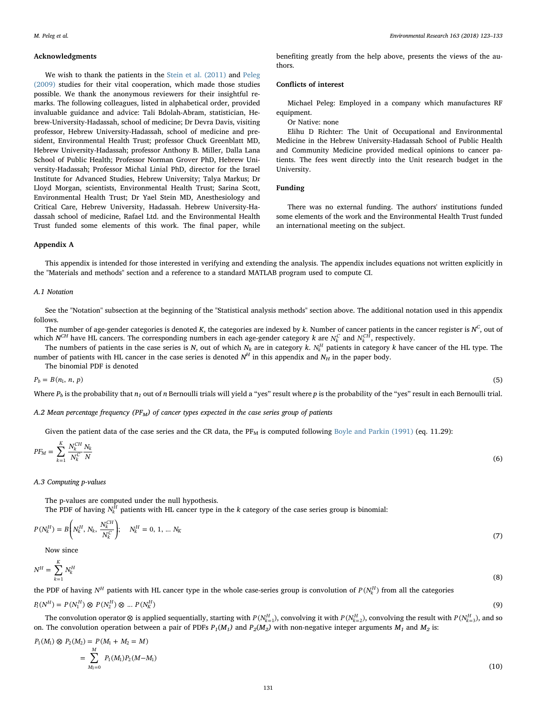#### Acknowledgments

We wish to thank the patients in the [Stein et al. \(2011\)](#page-10-14) and [Peleg](#page-10-18) [\(2009\)](#page-10-18) studies for their vital cooperation, which made those studies possible. We thank the anonymous reviewers for their insightful remarks. The following colleagues, listed in alphabetical order, provided invaluable guidance and advice: Tali Bdolah-Abram, statistician, Hebrew-University-Hadassah, school of medicine; Dr Devra Davis, visiting professor, Hebrew University-Hadassah, school of medicine and president, Environmental Health Trust; professor Chuck Greenblatt MD, Hebrew University-Hadassah; professor Anthony B. Miller, Dalla Lana School of Public Health; Professor Norman Grover PhD, Hebrew University-Hadassah; Professor Michal Linial PhD, director for the Israel Institute for Advanced Studies, Hebrew University; Talya Markus; Dr Lloyd Morgan, scientists, Environmental Health Trust; Sarina Scott, Environmental Health Trust; Dr Yael Stein MD, Anesthesiology and Critical Care, Hebrew University, Hadassah. Hebrew University-Hadassah school of medicine, Rafael Ltd. and the Environmental Health Trust funded some elements of this work. The final paper, while

benefiting greatly from the help above, presents the views of the authors.

## Conflicts of interest

Michael Peleg: Employed in a company which manufactures RF equipment.

Or Native: none

Elihu D Richter: The Unit of Occupational and Environmental Medicine in the Hebrew University-Hadassah School of Public Health and Community Medicine provided medical opinions to cancer patients. The fees went directly into the Unit research budget in the University.

## Funding

There was no external funding. The authors' institutions funded some elements of the work and the Environmental Health Trust funded an international meeting on the subject.

#### <span id="page-8-1"></span>Appendix A

This appendix is intended for those interested in verifying and extending the analysis. The appendix includes equations not written explicitly in the "Materials and methods" section and a reference to a standard MATLAB program used to compute CI.

#### A.1 Notation

See the "Notation" subsection at the beginning of the "Statistical analysis methods" section above. The additional notation used in this appendix follows.

The number of age-gender categories is denoted *K*, the categories are indexed by *k*. Number of cancer patients in the cancer register is  $N^C$ , out of which  $N^{CH}$  have HL cancers. The corresponding numbers in each age-

The numbers of patients in the case series is N, out of which  $N_k$  are in category k.  $N_k^H$  patients in category k have cancer of the HL type. The number of patients with HL cancer in the case series is denoted  $N<sup>H</sup>$  in this appendix and  $N<sub>H</sub>$  in the paper body.

The binomial PDF is denoted

$$
P_b = B(n_1, n, p) \tag{5}
$$

Where  $P_b$  is the probability that  $n_1$  out of n Bernoulli trials will yield a "yes" result where p is the probability of the "yes" result in each Bernoulli trial.

A.2 Mean percentage frequency ( $PF_M$ ) of cancer types expected in the case series group of patients

<span id="page-8-0"></span>Given the patient data of the case series and the CR data, the  $PF_M$  is computed following [Boyle and Parkin \(1991\)](#page-10-15) (eq. 11.29):

$$
PF_M = \sum_{k=1}^{K} \frac{N_k^{CH}}{N_k^{C}} \frac{N_k}{N} \tag{6}
$$

A.3 Computing p-values

The p-values are computed under the null hypothesis.

The PDF of having  $N_k^H$  patients with HL cancer type in the  $k$  category of the case series group is binomial:

$$
P(N_k^H) = B\left(N_k^H, N_k, \frac{N_k^{CH}}{N_k^C}\right); \quad N_k^H = 0, 1, \dots N_K
$$
\n(7)

Now since

 $=$   $\sum_{k=1}$  $N^H = \sum N$ *k K k H*  $\frac{1}{1}$  (8)

the PDF of having  $N^H$  patients with HL cancer type in the whole case-series group is convolution of  $P(N_k^H)$  from all the categories

$$
P_t(N^H) = P(N_1^H) \otimes P(N_2^H) \otimes \dots P(N_K^H) \tag{9}
$$

The convolution operator  $\otimes$  is applied sequentially, starting with  $P(N_{k=1}^H)$ , convolving it with  $P(N_{k=2}^H)$ , convolving the result with  $P(N_{k=3}^H)$ , and so on. The convolution operation between a pair of PDFs  $P_1(M_1)$  and  $P_2(M_2)$  with non-negative integer arguments  $M_1$  and  $M_2$  is:

$$
P_1(M_1) \otimes P_2(M_2) = P(M_1 + M_2 = M)
$$
  
= 
$$
\sum_{M_1=0}^{M} P_1(M_1) P_2(M - M_1)
$$
 (10)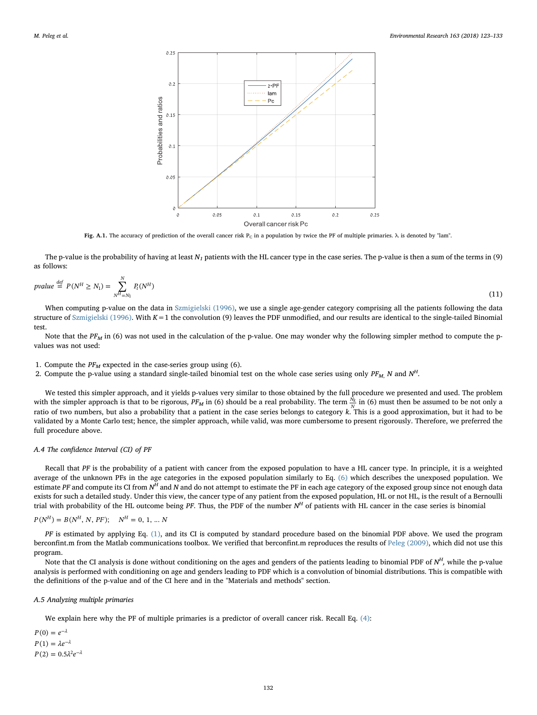<span id="page-9-0"></span>

Fig. A.1. The accuracy of prediction of the overall cancer risk P<sub>C</sub> in a population by twice the PF of multiple primaries.  $\lambda$  is denoted by "lam".

The p-value is the probability of having at least  $N_1$  patients with the HL cancer type in the case series. The p-value is then a sum of the terms in (9) as follows:

$$
pvalue \stackrel{\text{def}}{=} P(N^H \ge N_1) = \sum_{N^H = N_1}^{N} P(N^H) \tag{11}
$$

When computing p-value on the data in [Szmigielski \(1996\)](#page-10-17), we use a single age-gender category comprising all the patients following the data structure of [Szmigielski \(1996\)](#page-10-17). With  $K=1$  the convolution (9) leaves the PDF unmodified, and our results are identical to the single-tailed Binomial test.

Note that the PF<sub>M</sub> in (6) was not used in the calculation of the p-value. One may wonder why the following simpler method to compute the pvalues was not used:

1. Compute the  $PF_M$  expected in the case-series group using (6).

2. Compute the p-value using a standard single-tailed binomial test on the whole case series using only  $PF_M$ , N and  $N^H$ .

We tested this simpler approach, and it yields p-values very similar to those obtained by the full procedure we presented and used. The problem with the simpler approach is that to be rigorous,  $PF_M$  in (6) should be a real probability. The term  $\frac{N_k}{N}$  in (6) must then be assumed to be not only a ratio of two numbers, but also a probability that a patient in the case series belongs to category k. This is a good approximation, but it had to be validated by a Monte Carlo test; hence, the simpler approach, while valid, was more cumbersome to present rigorously. Therefore, we preferred the full procedure above.

## A.4 The confidence Interval (CI) of PF

Recall that PF is the probability of a patient with cancer from the exposed population to have a HL cancer type. In principle, it is a weighted average of the unknown PFs in the age categories in the exposed population similarly to Eq. [\(6\)](#page-8-0) which describes the unexposed population. We estimate PF and compute its CI from  $N<sup>H</sup>$  and N and do not attempt to estimate the PF in each age category of the exposed group since not enough data exists for such a detailed study. Under this view, the cancer type of any patient from the exposed population, HL or not HL, is the result of a Bernoulli trial with probability of the HL outcome being PF. Thus, the PDF of the number  $N<sup>H</sup>$  of patients with HL cancer in the case series is binomial

$$
P(N^H) = B(N^H, N, PF); \quad N^H = 0, 1, ... N
$$

PF is estimated by applying Eq. [\(1\),](#page-2-1) and its CI is computed by standard procedure based on the binomial PDF above. We used the program berconfint.m from the Matlab communications toolbox. We verified that berconfint.m reproduces the results of [Peleg \(2009\),](#page-10-18) which did not use this program.

Note that the CI analysis is done without conditioning on the ages and genders of the patients leading to binomial PDF of  $N^H$ , while the p-value analysis is performed with conditioning on age and genders leading to PDF which is a convolution of binomial distributions. This is compatible with the definitions of the p-value and of the CI here and in the "Materials and methods" section.

#### A.5 Analyzing multiple primaries

We explain here why the PF of multiple primaries is a predictor of overall cancer risk. Recall Eq. [\(4\)](#page-3-0):

 $P(0) = e^{-\lambda}$  $P(1) = \lambda e^{-\lambda}$  $P(2) = 0.5\lambda^2 e^{-\lambda}$